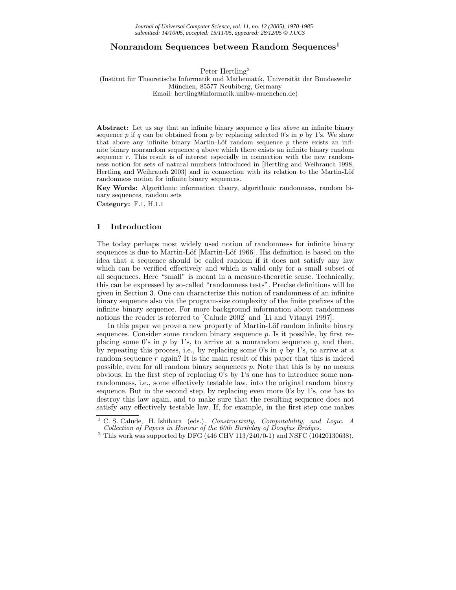# **Nonrandom Sequences between Random Sequences<sup>1</sup>**

Peter Hertling2

## (Institut für Theoretische Informatik und Mathematik, Universität der Bundeswehr München, 85577 Neubiberg, Germany Email: hertling@informatik.unibw-muenchen.de)

**Abstract:** Let us say that an infinite binary sequence *q* lies *above* an infinite binary sequence  $p$  if  $q$  can be obtained from  $p$  by replacing selected 0's in  $p$  by 1's. We show that above any infinite binary Martin-Löf random sequence  $p$  there exists an infinite binary nonrandom sequence *q* above which there exists an infinite binary random sequence *r*. This result is of interest especially in connection with the new randomness notion for sets of natural numbers introduced in [Hertling and Weihrauch 1998, Hertling and Weihrauch 2003] and in connection with its relation to the Martin-Löf randomness notion for infinite binary sequences.

**Key Words:** Algorithmic information theory, algorithmic randomness, random binary sequences, random sets

**Category:** F.1, H.1.1

## **1 Introduction**

The today perhaps most widely used notion of randomness for infinite binary sequences is due to Martin-Löf [Martin-Löf 1966]. His definition is based on the idea that a sequence should be called random if it does not satisfy any law which can be verified effectively and which is valid only for a small subset of all sequences. Here "small" is meant in a measure-theoretic sense. Technically, this can be expressed by so-called "randomness tests". Precise definitions will be given in Section 3. One can characterize this notion of randomness of an infinite binary sequence also via the program-size complexity of the finite prefixes of the infinite binary sequence. For more background information about randomness notions the reader is referred to [Calude 2002] and [Li and Vitanyi 1997].

In this paper we prove a new property of Martin-Löf random infinite binary sequences. Consider some random binary sequence  $p$ . Is it possible, by first replacing some 0's in p by 1's, to arrive at a nonrandom sequence q, and then, by repeating this process, i.e., by replacing some  $0$ 's in  $q$  by 1's, to arrive at a random sequence  $r$  again? It is the main result of this paper that this is indeed possible, even for all random binary sequences  $p$ . Note that this is by no means obvious. In the first step of replacing 0's by 1's one has to introduce some nonrandomness, i.e., some effectively testable law, into the original random binary sequence. But in the second step, by replacing even more 0's by 1's, one has to destroy this law again, and to make sure that the resulting sequence does not satisfy any effectively testable law. If, for example, in the first step one makes

**<sup>1</sup>** C. S. Calude, H. Ishihara (eds.). *Constructivity, Computability, and Logic. A*

 $^2$  This work was supported by DFG (446 CHV 113/240/0-1) and NSFC (10420130638).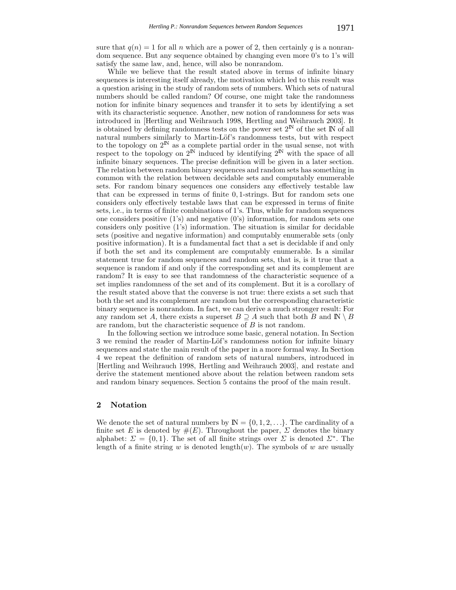sure that  $q(n) = 1$  for all n which are a power of 2, then certainly q is a nonrandom sequence. But any sequence obtained by changing even more 0's to 1's will satisfy the same law, and, hence, will also be nonrandom.

While we believe that the result stated above in terms of infinite binary sequences is interesting itself already, the motivation which led to this result was a question arising in the study of random sets of numbers. Which sets of natural numbers should be called random? Of course, one might take the randomness notion for infinite binary sequences and transfer it to sets by identifying a set with its characteristic sequence. Another, new notion of randomness for sets was introduced in [Hertling and Weihrauch 1998, Hertling and Weihrauch 2003]. It is obtained by defining randomness tests on the power set  $2^{\mathbb{N}}$  of the set  $\mathbb{N}$  of all natural numbers similarly to Martin-Löf's randomness tests, but with respect to the topology on  $2^{\mathbb{N}}$  as a complete partial order in the usual sense, not with respect to the topology on  $2^{\mathbb{N}}$  induced by identifying  $2^{\mathbb{N}}$  with the space of all infinite binary sequences. The precise definition will be given in a later section. The relation between random binary sequences and random sets has something in common with the relation between decidable sets and computably enumerable sets. For random binary sequences one considers any effectively testable law that can be expressed in terms of finite 0, 1-strings. But for random sets one considers only effectively testable laws that can be expressed in terms of finite sets, i.e., in terms of finite combinations of 1's. Thus, while for random sequences one considers positive  $(1)$ 's) and negative  $(0)$ 's) information, for random sets one considers only positive (1's) information. The situation is similar for decidable sets (positive and negative information) and computably enumerable sets (only positive information). It is a fundamental fact that a set is decidable if and only if both the set and its complement are computably enumerable. Is a similar statement true for random sequences and random sets, that is, is it true that a sequence is random if and only if the corresponding set and its complement are random? It is easy to see that randomness of the characteristic sequence of a set implies randomness of the set and of its complement. But it is a corollary of the result stated above that the converse is not true: there exists a set such that both the set and its complement are random but the corresponding characteristic binary sequence is nonrandom. In fact, we can derive a much stronger result: For any random set A, there exists a superset  $B \supseteq A$  such that both B and  $\mathbb{N} \setminus B$ are random, but the characteristic sequence of B is not random.

In the following section we introduce some basic, general notation. In Section 3 we remind the reader of Martin-Löf's randomness notion for infinite binary sequences and state the main result of the paper in a more formal way. In Section 4 we repeat the definition of random sets of natural numbers, introduced in [Hertling and Weihrauch 1998, Hertling and Weihrauch 2003], and restate and derive the statement mentioned above about the relation between random sets and random binary sequences. Section 5 contains the proof of the main result.

# **2 Notation**

We denote the set of natural numbers by  $\mathbb{N} = \{0, 1, 2, \ldots\}$ . The cardinality of a finite set E is denoted by  $#(E)$ . Throughout the paper,  $\Sigma$  denotes the binary alphabet:  $\Sigma = \{0, 1\}$ . The set of all finite strings over  $\Sigma$  is denoted  $\Sigma^*$ . The length of a finite string w is denoted length $(w)$ . The symbols of w are usually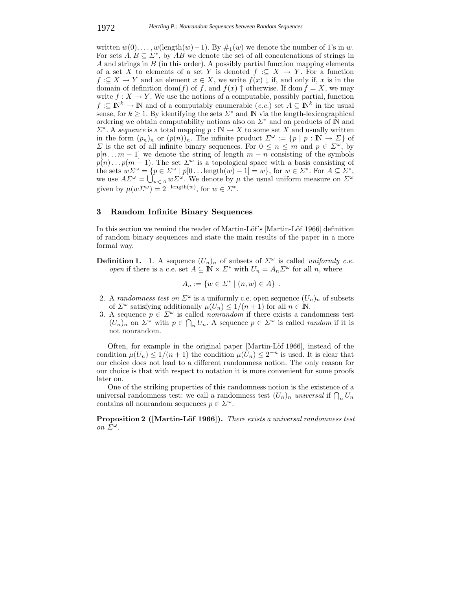written  $w(0), \ldots, w(\text{length}(w)-1)$ . By  $\#_1(w)$  we denote the number of 1's in w. For sets  $A, B \subseteq \Sigma^*$ , by  $AB$  we denote the set of all concatenations of strings in A and strings in  $B$  (in this order). A possibly partial function mapping elements of a set X to elements of a set Y is denoted  $f : \subseteq X \to Y$ . For a function  $f: \subseteq X \to Y$  and an element  $x \in X$ , we write  $f(x) \downarrow$  if, and only if, x is in the domain of definition dom(f) of f, and  $f(x)$   $\uparrow$  otherwise. If dom  $f = X$ , we may write  $f: X \to Y$ . We use the notions of a computable, possibly partial, function  $f: \subseteq \mathbb{N}^k \to \mathbb{N}$  and of a computably enumerable  $(c.e.)$  set  $A \subseteq \mathbb{N}^k$  in the usual sense, for  $k \geq 1$ . By identifying the sets  $\Sigma^*$  and N via the length-lexicographical ordering we obtain computability notions also on  $\Sigma^*$  and on products of N and  $\Sigma^*$ . A *sequence* is a total mapping  $p : \mathbb{N} \to X$  to some set X and usually written in the form  $(p_n)_n$  or  $(p(n))_n$ . The infinite product  $\Sigma^{\omega} := \{p \mid p : \mathbb{N} \to \Sigma\}$  of  $\Sigma$  is the set of all infinite binary sequences. For  $0 \leq n \leq m$  and  $p \in \Sigma^{\omega}$ , by  $p[n...m-1]$  we denote the string of length  $m-n$  consisting of the symbols  $p(n) \dots p(m-1)$ . The set  $\Sigma^{\omega}$  is a topological space with a basis consisting of the sets  $w\Sigma^{\omega} = \{p \in \Sigma^{\omega} \mid p[0 \dots \text{length}(w) - 1] = w\}$ , for  $w \in \Sigma^*$ . For  $A \subseteq \Sigma^*$ , we use  $A\Sigma^{\omega} = \bigcup_{w \in A} w\Sigma^{\omega}$ . We denote by  $\mu$  the usual uniform measure on  $\Sigma^{\omega}$ <br>with the usual unit of  $\Sigma^{\omega}$ given by  $\mu(w\Sigma^{\omega}) = 2^{-\text{length}(w)}$ , for  $w \in \Sigma^*$ .

## **3 Random Infinite Binary Sequences**

In this section we remind the reader of Martin-Löf's [Martin-Löf 1966] definition of random binary sequences and state the main results of the paper in a more formal way.

**Definition 1.** 1. A sequence  $(U_n)_n$  of subsets of  $\Sigma^{\omega}$  is called *uniformly c.e. open* if there is a c.e. set  $A \subseteq \mathbb{N} \times \mathbb{Z}^*$  with  $U_n = A_n \mathbb{Z}^\omega$  for all n, where

$$
A_n := \{ w \in \Sigma^* \mid (n, w) \in A \} .
$$

- 2. A *randomness test on*  $\Sigma^{\omega}$  is a uniformly c.e. open sequence  $(U_n)_n$  of subsets of  $\Sigma^{\omega}$  satisfying additionally  $\mu(U_n) \leq 1/(n+1)$  for all  $n \in \mathbb{N}$ .
- 3. A sequence  $p \in \Sigma^{\omega}$  is called *nonrandom* if there exists a randomness test  $(U_n)_n$  on  $\Sigma^{\omega}$  with  $p \in \bigcap_n U_n$ . A sequence  $p \in \Sigma^{\omega}$  is called *random* if it is not nonrandom not nonrandom.

Often, for example in the original paper [Martin-Löf 1966], instead of the condition  $\mu(U_n) \leq 1/(n+1)$  the condition  $\mu(U_n) \leq 2^{-n}$  is used. It is clear that our choice does not lead to a different randomness notion. The only reason for our choice is that with respect to notation it is more convenient for some proofs later on.

One of the striking properties of this randomness notion is the existence of a universal randomness test: we call a randomness test  $(U_n)_n$  *universal* if  $\bigcap_n U_n$ <br>contains all nonrandom sequences  $n \in \Sigma^\omega$ contains all nonrandom sequences  $p \in \Sigma^{\omega}$ .

**Proposition 2** ([Martin-Löf 1966]). *There exists a universal randomness test on*  $\Sigma^{\omega}$ *.*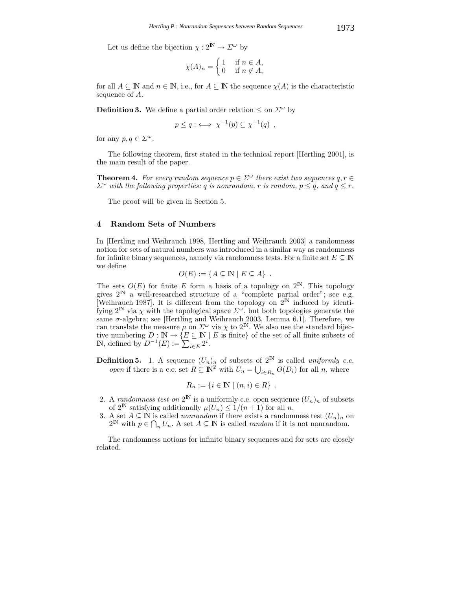Let us define the bijection  $\chi : 2^{\mathbb{N}} \to \Sigma^{\omega}$  by

$$
\chi(A)_n = \begin{cases} 1 & \text{if } n \in A, \\ 0 & \text{if } n \notin A, \end{cases}
$$

for all  $A \subseteq \mathbb{N}$  and  $n \in \mathbb{N}$ , i.e., for  $A \subseteq \mathbb{N}$  the sequence  $\chi(A)$  is the characteristic sequence of A.

**Definition 3.** We define a partial order relation  $\leq$  on  $\Sigma^{\omega}$  by

$$
p \le q : \iff \chi^{-1}(p) \subseteq \chi^{-1}(q) ,
$$

for any  $p, q \in \Sigma^{\omega}$ .

The following theorem, first stated in the technical report [Hertling 2001], is the main result of the paper.

**Theorem 4.** For every random sequence  $p \in \Sigma^{\omega}$  there exist two sequences  $q, r \in$  $\Sigma^{\omega}$  *with the following properties: q is nonrandom, r is random,*  $p \leq q$ *, and*  $q \leq r$ .

The proof will be given in Section 5.

## **4 Random Sets of Numbers**

In [Hertling and Weihrauch 1998, Hertling and Weihrauch 2003] a randomness notion for sets of natural numbers was introduced in a similar way as randomness for infinite binary sequences, namely via randomness tests. For a finite set  $E \subseteq \mathbb{N}$ we define

$$
O(E) := \{ A \subseteq \mathbb{N} \mid E \subseteq A \} .
$$

The sets  $O(E)$  for finite E form a basis of a topology on  $2^{\mathbb{N}}$ . This topology gives  $2^{\mathbb{N}}$  a well-researched structure of a "complete partial order"; see e.g. Weihrauch 1987. It is different from the topology on  $2^{\mathbb{N}}$  induced by identifying  $2^{\mathbb{N}}$  via  $\chi$  with the topological space  $\Sigma^{\omega}$ , but both topologies generate the same  $\sigma$ -algebra: see [Hertling and Weihrauch 2003, Lemma 6.1]. Therefore, we same  $\sigma$ -algebra; see [Hertling and Weihrauch 2003, Lemma 6.1]. Therefore, we<br>can translate the measure  $\mu$  on  $\Sigma^{\omega}$  via  $\chi$  to  $2^N$ . We also use the standard bijeccan translate the measure  $\mu$  on  $\Sigma^{\omega}$  via  $\chi$  to  $2^{\mathbb{N}}$ . We also use the standard bijective numbering  $D \cdot \mathbb{N} \to \{E \subset \mathbb{N} \mid E \text{ is finite} \}$  of the set of all finite subsets of tive numbering  $D : \mathbb{N} \to \{E \subseteq \mathbb{N} \mid E \text{ is finite}\}$  of the set of all finite subsets of  $\mathbb{N}$  defined by  $D^{-1}(E) := \sum_{i=1}^{\infty} 2^{i}$ **IN**, defined by  $D^{-1}(E) := \sum_{i \in E} 2^i$ .

**Definition 5.** 1. A sequence  $(U_n)_n$  of subsets of  $2^{\mathbb{N}}$  is called *uniformly c.e.* onen if there is a c.e. set  $R \subseteq \mathbb{N}^2$  with  $U = \square$   $O(D)$  for all n where *open* if there is a c.e. set  $R \subseteq \mathbb{N}^2$  with  $U_n = \bigcup_{i \in R_n} O(D_i)$  for all n, where

$$
R_n := \{ i \in \mathbb{N} \mid (n, i) \in R \} .
$$

- 2. A *randomness test on*  $2^{\mathbb{N}}$  is a uniformly c.e. open sequence  $(U_n)_n$  of subsets of  $2^{\mathbb{N}}$  satisfying additionally  $\mu(U_n) \le 1/(n+1)$  for all n of  $2^{\mathbb{N}}$  satisfying additionally  $\mu(U_n) \leq 1/(n+1)$  for all n.<br>A set  $A \subset \mathbb{N}$  is called *nonrandom* if there exists a random
- 3. A set  $A \subseteq \mathbb{N}$  is called *nonrandom* if there exists a randomness test  $(U_n)_n$  on  $2^{\mathbb{N}}$  with  $n \in \bigcap U_n$ . A set  $A \subseteq \mathbb{N}$  is called *random* if it is not nonrandom  $2^{\mathbb{N}}$  with  $p \in \bigcap_n U_n$ . A set  $A \subseteq \mathbb{N}$  is called *random* if it is not nonrandom.

The randomness notions for infinite binary sequences and for sets are closely related.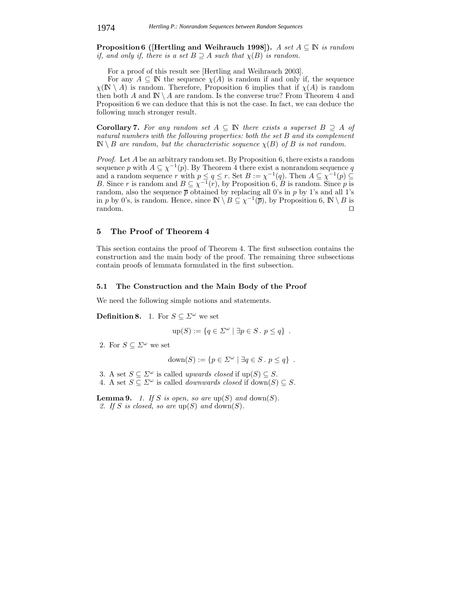**Proposition 6 ([Hertling and Weihrauch 1998]).** *A set* A <sup>⊆</sup> IN *is random if, and only if, there is a set*  $B \supseteq A$  *such that*  $\chi(B)$  *is random.* 

For a proof of this result see [Hertling and Weihrauch 2003].

For any  $A \subseteq \mathbb{N}$  the sequence  $\chi(A)$  is random if and only if, the sequence  $\chi(\mathbb{N} \setminus A)$  is random. Therefore, Proposition 6 implies that if  $\chi(A)$  is random then both A and  $\mathbb{N} \setminus A$  are random. Is the converse true? From Theorem 4 and Proposition 6 we can deduce that this is not the case. In fact, we can deduce the following much stronger result.

**Corollary 7.** For any random set  $A \subseteq \mathbb{N}$  there exists a superset  $B \supseteq A$  of *natural numbers with the following properties: both the set* B *and its complement*  $\mathbb{N} \setminus B$  *are random, but the characteristic sequence*  $\chi(B)$  *of* B *is not random.* 

*Proof.* Let A be an arbitrary random set. By Proposition 6, there exists a random sequence p with  $A \subseteq \chi^{-1}(p)$ . By Theorem 4 there exist a nonrandom sequence q sequence p with  $A \subseteq \chi^{-1}(p)$ . By Theorem 4 there exist a nonrandom sequence q<br>and a random sequence r with  $n \leq a \leq r$ . Set  $B := \chi^{-1}(a)$ . Then  $A \subseteq \chi^{-1}(p) \subseteq$ and a random sequence r with  $p \le q \le r$ . Set  $B := \chi^{-1}(q)$ . Then  $A \subseteq \chi^{-1}(p) \subseteq B$  Since r is random and  $B \subset \chi^{-1}(r)$  by Proposition 6. B is random Since p is B. Since r is random and  $B \subseteq \chi^{-1}(r)$ , by Proposition 6, B is random. Since p is random also the sequence  $\overline{p}$  obtained by replacing all 0's in p by 1's and all 1's random, also the sequence  $\overline{p}$  obtained by replacing all 0's in p by 1's and all 1's in p by 0's is random. Hence since  $\mathbb{N} \setminus B \subset \sqrt{-1}(\overline{p})$  by Proposition 6,  $\mathbb{N} \setminus B$  is in p by 0's, is random. Hence, since  $\mathbb{N} \setminus B \subseteq \chi^{-1}(\overline{p})$ , by Proposition 6,  $\mathbb{N} \setminus B$  is random. random.

## **5 The Proof of Theorem 4**

This section contains the proof of Theorem 4. The first subsection contains the construction and the main body of the proof. The remaining three subsections contain proofs of lemmata formulated in the first subsection.

## **5.1 The Construction and the Main Body of the Proof**

We need the following simple notions and statements.

**Definition 8.** 1. For  $S \subseteq \Sigma^{\omega}$  we set

$$
\text{up}(S) := \{ q \in \Sigma^{\omega} \mid \exists p \in S \,.\, p \le q \} \ .
$$

2. For  $S \subseteq \Sigma^{\omega}$  we set

$$
down(S) := \{ p \in \Sigma^{\omega} \mid \exists q \in S \,.\, p \le q \} \ .
$$

3. A set  $S \subseteq \Sigma^{\omega}$  is called *upwards closed* if  $\text{up}(S) \subseteq S$ .<br>4. A set  $S \subseteq \Sigma^{\omega}$  is called *downwards closed* if  $\text{down}(S)$ 4. A set  $S \subseteq \Sigma^{\omega}$  is called *downwards closed* if down( $S$ )  $\subseteq$  *S*.

**Lemma 9.** *1. If* S *is open, so are*  $\text{up}(S)$  *and*  $\text{down}(S)$ *.* 2. If S is closed, so are  $up(S)$  and  $down(S)$ .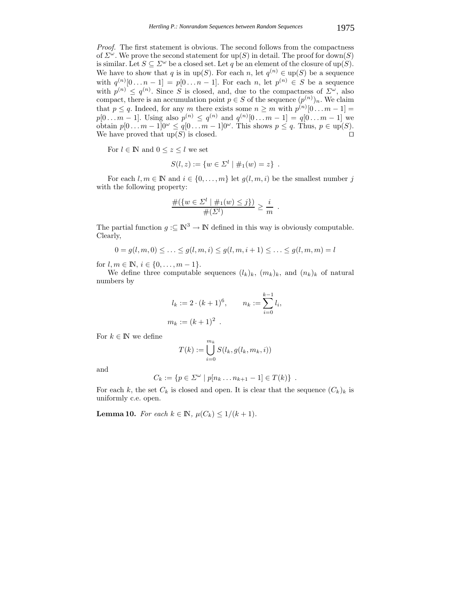*Proof.* The first statement is obvious. The second follows from the compactness of  $\Sigma^{\omega}$ . We prove the second statement for up(S) in detail. The proof for down(S) is similar. Let  $S \subseteq \Sigma^{\omega}$  be a closed set. Let q be an element of the closure of up(S). We have to show that q is in up(S). For each n, let  $q^{(n)} \in \text{up}(S)$  be a sequence with  $q^{(n)}[0 \dots n-1] = p[0 \dots n-1]$ . For each n, let  $p^{(n)} \in S$  be a sequence<br>with  $p^{(n)} \leq q^{(n)}$  Since S is closed, and due to the compactness of  $\sum_{n=1}^{\infty}$  also with  $p^{(n)} \leq q^{(n)}$ . Since S is closed, and, due to the compactness of  $\Sigma^{\omega}$ , also compact there is an accumulation point  $n \in S$  of the sequence  $(p^{(n)})$ . We claim compact, there is an accumulation point  $p \in S$  of the sequence  $(p^{(n)})_n$ . We claim that  $p \leq q$ . Indeed, for any m there exists some  $n \geq m$  with  $p^{(n)}[0 \dots m-1] =$ <br> $p[0 \quad m-1]$ . Using also  $p^{(n)} \leq q^{(n)}$  and  $q^{(n)}[0 \quad m-1] = q[0 \quad m-1]$  was  $p[0 \dots m-1]$ . Using also  $p^{(n)} \n\t\leq q^{(n)}$  and  $q^{(n)}[0 \dots m-1] = q[0 \dots m-1]$  we obtain  $p[0 \dots m-1] \cap \{0\}$  and  $q^{(n)}[0 \dots m-1]$  we obtain  $p[0 \dots m-1] \cap \{0\}$ obtain  $p[0 \dots m-1]0^{\omega} \le q[0 \dots m-1]0^{\omega}$ . This shows  $p \le q$ . Thus,  $p \in \text{up}(S)$ .<br>We have proved that  $\text{up}(S)$  is closed We have proved that  $\text{up}(S)$  is closed.

For  $l \in \mathbb{N}$  and  $0 \leq z \leq l$  we set

$$
S(l, z) := \{ w \in \Sigma^l \mid \#_1(w) = z \} .
$$

For each  $l, m \in \mathbb{N}$  and  $i \in \{0, ..., m\}$  let  $q(l, m, i)$  be the smallest number j with the following property:

$$
\frac{\#({w \in \Sigma^l \mid \#_1(w) \le j})}{\#(\Sigma^l)} \ge \frac{i}{m}.
$$

The partial function  $g: \subseteq \mathbb{N}^3 \to \mathbb{N}$  defined in this way is obviously computable. Clearly,

$$
0 = g(l, m, 0) \le \dots \le g(l, m, i) \le g(l, m, i + 1) \le \dots \le g(l, m, m) = l
$$

for  $l, m \in \mathbb{N}, i \in \{0, \ldots, m-1\}.$ 

We define three computable sequences  $(l_k)_k$ ,  $(m_k)_k$ , and  $(n_k)_k$  of natural numbers by

$$
l_k := 2 \cdot (k+1)^6,
$$
  $n_k := \sum_{i=0}^{k-1} l_i,$   
 $m_k := (k+1)^2.$ 

For  $k \in \mathbb{N}$  we define

$$
T(k) := \bigcup_{i=0}^{m_k} S(l_k, g(l_k, m_k, i))
$$

and

$$
C_k := \{ p \in \Sigma^{\omega} \mid p[n_k \dots n_{k+1} - 1] \in T(k) \} .
$$

For each k, the set  $C_k$  is closed and open. It is clear that the sequence  $(C_k)_k$  is uniformly c e open uniformly c.e. open.

**Lemma 10.** *For each*  $k \in \mathbb{N}$ *,*  $\mu(C_k) \leq 1/(k+1)$ *.*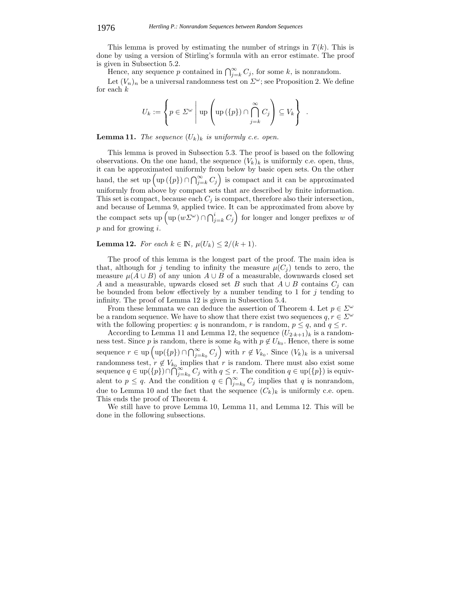#### 1976 *Hertling P.: Nonrandom Sequences between Random Sequences*

This lemma is proved by estimating the number of strings in  $T(k)$ . This is done by using a version of Stirling's formula with an error estimate. The proof is given in Subsection 5.2.

Hence, any sequence p contained in  $\bigcap_{j=k}^{\infty} C_j$ , for some k, is nonrandom.

Let  $(V_n)_n$  be a universal randomness test on  $\Sigma^{\omega}$ ; see Proposition 2. We define for each  $k$ 

$$
U_k := \left\{ p \in \Sigma^{\omega} \mid \text{up} \left( \text{up}(\{p\}) \cap \bigcap_{j=k}^{\infty} C_j \right) \subseteq V_k \right\} .
$$

**Lemma 11.** *The sequence*  $(U_k)_k$  *is uniformly c.e. open.* 

This lemma is proved in Subsection 5.3. The proof is based on the following observations. On the one hand, the sequence  $(V_k)_k$  is uniformly c.e. open, thus, it can be approximated uniformly from below by basic open sets. On the other hand, the set up  $\left(\text{up}(\{p\}) \cap \bigcap_{j=k}^{\infty} C_j\right)$  is compact and it can be approximated uniformly from above by compact sets that are described by finite information. This set is compact, because each  $C_j$  is compact, therefore also their intersection, and because of Lemma 9, applied twice. It can be approximated from above by the compact sets up  $\left(\text{up}(w\varSigma^{\omega})\cap\bigcap_{j=k}^{i}C_j\right)$ for longer and longer prefixes  $w$  of  $p$  and for growing  $i$ .

## **Lemma 12.** *For each*  $k \in \mathbb{N}$ ,  $\mu(U_k) \leq 2/(k+1)$ *.*

The proof of this lemma is the longest part of the proof. The main idea is that, although for j tending to infinity the measure  $\mu(C_i)$  tends to zero, the measure  $\mu(A \cup B)$  of any union  $A \cup B$  of a measurable, downwards closed set A and a measurable, upwards closed set B such that  $A \cup B$  contains  $C_i$  can be bounded from below effectively by a number tending to 1 for  $j$  tending to infinity. The proof of Lemma 12 is given in Subsection 5.4.

From these lemmata we can deduce the assertion of Theorem 4. Let  $p \in \Sigma^{\omega}$ be a random sequence. We have to show that there exist two sequences  $q, r \in \Sigma^{\omega}$ 

with the following properties: q is nonrandom, r is random,  $p \le q$ , and  $q \le r$ .<br>According to Lemma 11 and Lemma 12, the sequence  $(U_{2\cdot k+1})_k$  is a random-According to Lemma 11 and Lemma 12, the sequence  $(U_{2\cdot k+1})_k$  is a random-<br>s test. Since *n* is random, there is some  $k_0$  with  $n \notin U_k$ . Hence, there is some ness test. Since p is random, there is some  $k_0$  with  $p \notin U_{k_0}$ . Hence, there is some sequence  $r \in \text{up}(\text{up}(\{p\}) \cap \bigcap_{j=k_0}^{\infty} C_j\right)$  with  $r \notin V_{k_0}$ . Since  $(V_k)_k$  is a universal randomness test,  $r \notin V_{k_0}$  implies that r is random. There must also exist some<br>sequence  $a \in \text{un}(\{n\}) \cap \bigcap_{\alpha=1}^{\infty} C_{\alpha}$  with  $a \leq r$ . The condition  $a \in \text{un}(\{n\})$  is equivsequence  $q \in \text{up}(\{p\}) \cap \bigcap_{i=k_0}^{\infty} C_j$  with  $q \leq r$ . The condition  $q \in \text{up}(\{p\})$  is equivalent to  $p \leq q$ . And the condition  $q \in \bigcap_{j=k_0}^{\infty} C_j$  implies that q is nonrandom, due to Lemma 10 and the fact that the sequence  $(C_k)_k$  is uniformly c.e. open. This ends the proof of Theorem 4.

We still have to prove Lemma 10, Lemma 11, and Lemma 12. This will be done in the following subsections.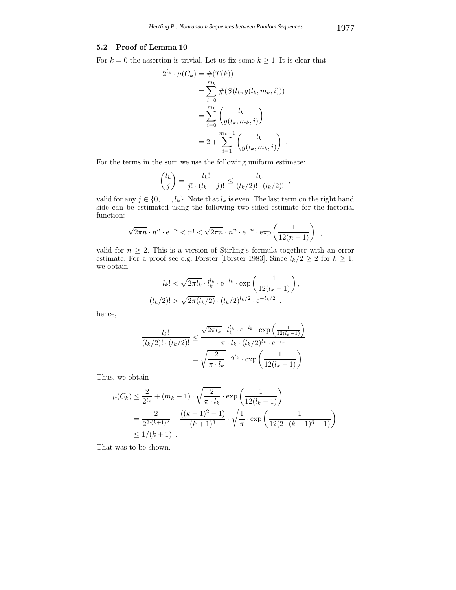## **5.2 Proof of Lemma 10**

For  $k = 0$  the assertion is trivial. Let us fix some  $k \geq 1$ . It is clear that

$$
2^{l_k} \cdot \mu(C_k) = \#(T(k))
$$
  
= 
$$
\sum_{i=0}^{m_k} \#(S(l_k, g(l_k, m_k, i)))
$$
  
= 
$$
\sum_{i=0}^{m_k} {l_k \choose g(l_k, m_k, i)}
$$
  
= 
$$
2 + \sum_{i=1}^{m_k - 1} {l_k \choose g(l_k, m_k, i)}.
$$

For the terms in the sum we use the following uniform estimate:

$$
\binom{l_k}{j} = \frac{l_k!}{j! \cdot (l_k - j)!} \le \frac{l_k!}{(l_k/2)! \cdot (l_k/2)!},
$$

valid for any  $j \in \{0, \ldots, l_k\}$ . Note that  $l_k$  is even. The last term on the right hand side can be estimated using the following two-sided estimate for the factorial function:

$$
\sqrt{2\pi n} \cdot n^n \cdot e^{-n} < n! < \sqrt{2\pi n} \cdot n^n \cdot e^{-n} \cdot \exp\left(\frac{1}{12(n-1)}\right)
$$

valid for  $n \geq 2$ . This is a version of Stirling's formula together with an error estimate. For a proof see e.g. Forster [Forster 1983]. Since  $l_k/2 \geq 2$  for  $k \geq 1$ , we obtain

$$
l_k! < \sqrt{2\pi l_k} \cdot l_k^{l_k} \cdot e^{-l_k} \cdot \exp\left(\frac{1}{12(l_k-1)}\right),
$$
\n
$$
(l_k/2)! > \sqrt{2\pi (l_k/2)} \cdot (l_k/2)^{l_k/2} \cdot e^{-l_k/2} \ ,
$$

hence,

$$
\frac{l_k!}{(l_k/2)! \cdot (l_k/2)!} \le \frac{\sqrt{2\pi l_k} \cdot l_k^{l_k} \cdot e^{-l_k} \cdot \exp\left(\frac{1}{12(l_k-1)}\right)}{\pi \cdot l_k \cdot (l_k/2)^{l_k} \cdot e^{-l_k}}
$$

$$
= \sqrt{\frac{2}{\pi \cdot l_k}} \cdot 2^{l_k} \cdot \exp\left(\frac{1}{12(l_k-1)}\right)
$$

Thus, we obtain

$$
\mu(C_k) \le \frac{2}{2^{l_k}} + (m_k - 1) \cdot \sqrt{\frac{2}{\pi \cdot l_k}} \cdot \exp\left(\frac{1}{12(l_k - 1)}\right)
$$
  
= 
$$
\frac{2}{2^{2 \cdot (k+1)^6}} + \frac{((k+1)^2 - 1)}{(k+1)^3} \cdot \sqrt{\frac{1}{\pi}} \cdot \exp\left(\frac{1}{12(2 \cdot (k+1)^6 - 1)}\right)
$$
  
\$\le 1/(k+1)\$.

That was to be shown.

,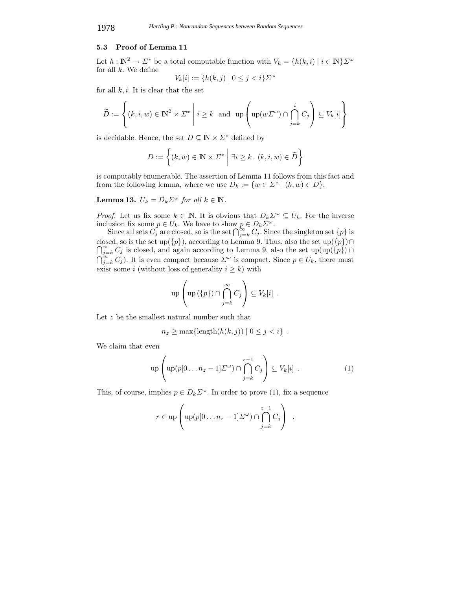## **5.3 Proof of Lemma 11**

Let  $h : \mathbb{N}^2 \to \Sigma^*$  be a total computable function with  $V_k = \{h(k, i) \mid i \in \mathbb{N}\}\Sigma^\omega$ for all  $k$ . We define

$$
V_k[i] := \{ h(k,j) \mid 0 \le j < i \} \Sigma^\omega
$$

for all  $k, i$ . It is clear that the set

$$
\widetilde{D} := \left\{ (k, i, w) \in \mathbb{N}^2 \times \Sigma^* \middle| i \ge k \text{ and } \text{up} \left( \text{up}(w\Sigma^{\omega}) \cap \bigcap_{j=k}^i C_j \right) \subseteq V_k[i] \right\}
$$

is decidable. Hence, the set  $D \subseteq \mathbb{N} \times \mathbb{Z}^*$  defined by

$$
D := \left\{ (k, w) \in \mathbb{N} \times \Sigma^* \middle| \exists i \ge k \,.\,(k, i, w) \in \widetilde{D} \right\}
$$

is computably enumerable. The assertion of Lemma 11 follows from this fact and from the following lemma, where we use  $D_k := \{w \in \Sigma^* \mid (k, w) \in D\}.$ 

**Lemma 13.**  $U_k = D_k \Sigma^\omega$  *for all*  $k \in \mathbb{N}$ *.* 

*Proof.* Let us fix some  $k \in \mathbb{N}$ . It is obvious that  $D_k \Sigma^{\omega} \subseteq U_k$ . For the inverse inclusion fix some  $n \in U_k$ . We have to show  $n \in D_k \Sigma^{\omega}$ inclusion fix some  $p \in U_k$ . We have to show  $p \in D_k \Sigma^{\omega}$ .<br>Since all sets  $C_k$  are closed so is the set  $\bigcap_{k=1}^{\infty} C_k$ . Since

Since all sets  $C_j$  are closed, so is the set  $\bigcap_{j=k}^{\infty} C_j$ . Since the singleton set  $\{p\}$  is closed, so is the set up( closed, so is the set up( $\{p\}$ ), according to Lemma 9. Thus, also the set up( $\{p\}$ ) $\cap_{i=k}^{\infty} C_i$  is closed, and again according to Lemma 9, also the set up( $\{p\}$ ) $\cap$  $\bigcap_{j=k}^{\infty} C_j$  is closed, and again according to Lemma 9, also the set up(up({p}) ∩<br> $\bigcap_{j=k}^{\infty} C_j$ ). It is even compact because  $\Sigma^{\omega}$  is compact. Since  $p \in U_k$ , there must<br>ovide some i (without loss of senerality i exist some i (without loss of generality  $i \geq k$ ) with

$$
\operatorname{up}\left(\operatorname{up}\left(\{p\}\right)\cap\bigcap_{j=k}^{\infty}C_j\right)\subseteq V_k[i].
$$

Let z be the smallest natural number such that

$$
n_z \ge \max\{\text{length}(h(k,j)) \mid 0 \le j < i\} .
$$

We claim that even

$$
\operatorname{up}\left(\operatorname{up}(p[0\ldots n_z-1]\Sigma^{\omega})\cap\bigcap_{j=k}^{z-1}C_j\right)\subseteq V_k[i] \ . \tag{1}
$$

This, of course, implies  $p \in D_k \Sigma^{\omega}$ . In order to prove (1), fix a sequence

$$
r \in \text{up}\left(\text{up}(p[0 \ldots n_z-1] \Sigma^{\omega}) \cap \bigcap_{j=k}^{z-1} C_j\right) .
$$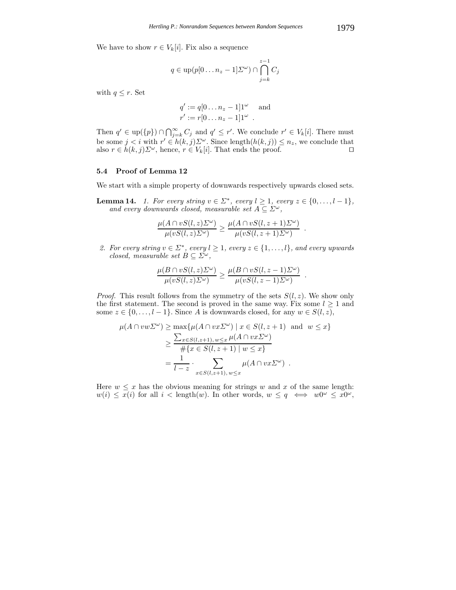We have to show  $r \in V_k[i]$ . Fix also a sequence

$$
q \in \mathrm{up}(p[0 \dots n_z - 1] \Sigma^{\omega}) \cap \bigcap_{j=k}^{z-1} C_j
$$

with  $q \leq r$ . Set

$$
q' := q[0 \dots n_z - 1]1^{\omega} \text{ and}
$$
  

$$
r' := r[0 \dots n_z - 1]1^{\omega} .
$$

Then  $q' \in \text{up}(\{p\}) \cap \bigcap_{j=k}^{\infty} C_j$  and  $q' \leq r'$ . We conclude  $r' \in V_k[i]$ . There must<br>be some  $i \leq j$  with  $r' \in h(k, j) \sum_{i=1}^{\infty}$  Singe length( $h(k, j) \leq n$  , we conclude that be some  $j < i$  with  $r' \in h(k, j) \Sigma^{\omega}$ . Since length $(h(k, j)) \leq n_z$ , we conclude that also  $r \in h(k, j) \Sigma^{\omega}$  hence  $r \in V_{\omega}[i]$ . That ends the proof also  $r \in h(k, j) \Sigma^{\omega}$ , hence,  $r \in V_k[i]$ . That ends the proof.

## **5.4 Proof of Lemma 12**

We start with a simple property of downwards respectively upwards closed sets.

**Lemma 14.** *1. For every string*  $v \in \Sigma^*$ *, every*  $l \geq 1$ *, every*  $z \in \{0, \ldots, l-1\}$ *, and every downwards closed, measurable set*  $A \subseteq \Sigma^{\omega}$ ,

$$
\frac{\mu(A \cap vS(l,z)\Sigma^{\omega})}{\mu(vS(l,z)\Sigma^{\omega})} \geq \frac{\mu(A \cap vS(l,z+1)\Sigma^{\omega})}{\mu(vS(l,z+1)\Sigma^{\omega})} .
$$

*2. For every string*  $v \in \Sigma^*$ *, every*  $l \geq 1$ *, every*  $z \in \{1, \ldots, l\}$ *, and every upwards closed, measurable set*  $B \subseteq \Sigma^{\omega}$ ,

$$
\frac{\mu(B \cap vS(l,z)\Sigma^{\omega})}{\mu(vS(l,z)\Sigma^{\omega})} \geq \frac{\mu(B \cap vS(l,z-1)\Sigma^{\omega})}{\mu(vS(l,z-1)\Sigma^{\omega})} .
$$

*Proof.* This result follows from the symmetry of the sets  $S(l, z)$ . We show only the first statement. The second is proved in the same way. Fix some  $l \geq 1$  and some  $z \in \{0, \ldots, l-1\}$ . Since A is downwards closed, for any  $w \in S(l, z)$ ,

$$
\mu(A \cap vw\Sigma^{\omega}) \ge \max\{\mu(A \cap vx\Sigma^{\omega}) \mid x \in S(l, z+1) \text{ and } w \le x\}
$$
  
\n
$$
\ge \frac{\sum_{x \in S(l, z+1), w \le x} \mu(A \cap vx\Sigma^{\omega})}{\#\{x \in S(l, z+1) \mid w \le x\}}
$$
  
\n
$$
= \frac{1}{l-z} \cdot \sum_{x \in S(l, z+1), w \le x} \mu(A \cap vx\Sigma^{\omega}) .
$$

Here  $w \leq x$  has the obvious meaning for strings w and x of the same length:  $w(i) \leq x(i)$  for all  $i <$  length $(w)$ . In other words,  $w \leq q \iff w0^{\omega} \leq x0^{\omega}$ ,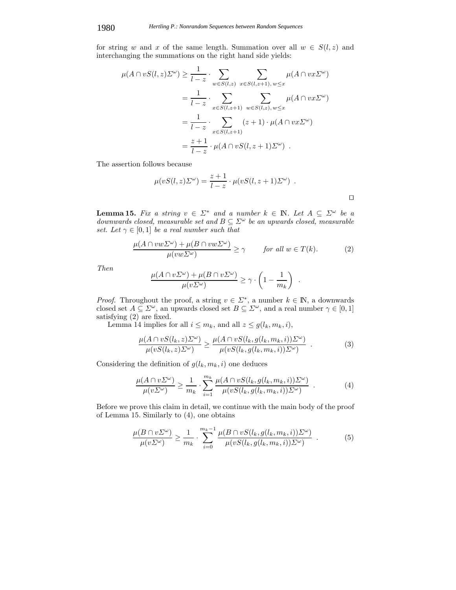for string w and x of the same length. Summation over all  $w \in S(l, z)$  and interchanging the summations on the right hand side yields:

$$
\mu(A \cap vS(l,z)\Sigma^{\omega}) \geq \frac{1}{l-z} \cdot \sum_{w \in S(l,z)} \sum_{x \in S(l,z+1), w \leq x} \mu(A \cap vx\Sigma^{\omega})
$$
  
= 
$$
\frac{1}{l-z} \cdot \sum_{x \in S(l,z+1)} \sum_{w \in S(l,z), w \leq x} \mu(A \cap vx\Sigma^{\omega})
$$
  
= 
$$
\frac{1}{l-z} \cdot \sum_{x \in S(l,z+1)} (z+1) \cdot \mu(A \cap vx\Sigma^{\omega})
$$
  
= 
$$
\frac{z+1}{l-z} \cdot \mu(A \cap vS(l,z+1)\Sigma^{\omega}) .
$$

The assertion follows because

$$
\mu(vS(l,z)\Sigma^{\omega}) = \frac{z+1}{l-z} \cdot \mu(vS(l,z+1)\Sigma^{\omega}) .
$$

**Lemma 15.** Fix a string  $v \in \Sigma^*$  and a number  $k \in \mathbb{N}$ . Let  $A \subseteq \Sigma^{\omega}$  be a downwards closed measurable set and  $B \subset \Sigma^{\omega}$  be an unwards closed measurable *downwards closed, measurable set and*  $B \subseteq \Sigma^{\omega}$  *be an upwards closed, measurable set Let*  $\gamma \in [0, 1]$  *be a real number such that set. Let*  $\gamma \in [0,1]$  *be a real number such that* 

$$
\frac{\mu(A \cap vw\Sigma^{\omega}) + \mu(B \cap vw\Sigma^{\omega})}{\mu(vw\Sigma^{\omega})} \ge \gamma \qquad \text{for all } w \in T(k). \tag{2}
$$

*Then*

$$
\frac{\mu(A \cap v\Sigma^{\omega}) + \mu(B \cap v\Sigma^{\omega})}{\mu(v\Sigma^{\omega})} \geq \gamma \cdot \left(1 - \frac{1}{m_k}\right) .
$$

*Proof.* Throughout the proof, a string  $v \in \Sigma^*$ , a number  $k \in \mathbb{N}$ , a downwards closed set  $A \subset \Sigma^\omega$  and universely and a real number  $\gamma \in [0, 1]$ closed set  $A \subseteq \Sigma^{\omega}$ , an upwards closed set  $B \subseteq \Sigma^{\omega}$ , and a real number  $\gamma \in [0, 1]$ <br>satisfying (2) are fixed satisfying (2) are fixed.

Lemma 14 implies for all  $i \leq m_k$ , and all  $z \leq g(l_k, m_k, i)$ ,

$$
\frac{\mu(A \cap vS(l_k, z)\Sigma^{\omega})}{\mu(vS(l_k, z)\Sigma^{\omega})} \ge \frac{\mu(A \cap vS(l_k, g(l_k, m_k, i))\Sigma^{\omega})}{\mu(vS(l_k, g(l_k, m_k, i))\Sigma^{\omega})} \quad . \tag{3}
$$

Considering the definition of  $g(l_k, m_k, i)$  one deduces

$$
\frac{\mu(A \cap v\Sigma^{\omega})}{\mu(v\Sigma^{\omega})} \ge \frac{1}{m_k} \cdot \sum_{i=1}^{m_k} \frac{\mu(A \cap vS(l_k, g(l_k, m_k, i))\Sigma^{\omega})}{\mu(vS(l_k, g(l_k, m_k, i))\Sigma^{\omega})} . \tag{4}
$$

Before we prove this claim in detail, we continue with the main body of the proof of Lemma 15. Similarly to (4), one obtains

$$
\frac{\mu(B \cap v\Sigma^{\omega})}{\mu(v\Sigma^{\omega})} \ge \frac{1}{m_k} \cdot \sum_{i=0}^{m_k-1} \frac{\mu(B \cap vS(l_k, g(l_k, m_k, i))\Sigma^{\omega})}{\mu(vS(l_k, g(l_k, m_k, i))\Sigma^{\omega})} . \tag{5}
$$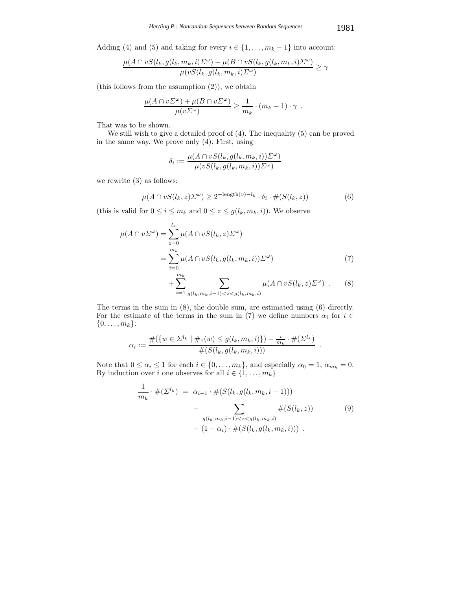Adding (4) and (5) and taking for every  $i \in \{1, \ldots, m_k - 1\}$  into account:

$$
\frac{\mu(A \cap vS(l_k, g(l_k, m_k, i)\Sigma^{\omega}) + \mu(B \cap vS(l_k, g(l_k, m_k, i)\Sigma^{\omega})}{\mu(vS(l_k, g(l_k, m_k, i)\Sigma^{\omega}))} \ge \gamma
$$

(this follows from the assumption (2)), we obtain

$$
\frac{\mu(A \cap v^{\infty}) + \mu(B \cap v^{\infty})}{\mu(v^{\infty})} \geq \frac{1}{m_k} \cdot (m_k - 1) \cdot \gamma.
$$

That was to be shown.

We still wish to give a detailed proof of (4). The inequality (5) can be proved in the same way. We prove only (4). First, using

$$
\delta_i := \frac{\mu(A \cap vS(l_k, g(l_k, m_k, i))\Sigma^{\omega})}{\mu(vS(l_k, g(l_k, m_k, i))\Sigma^{\omega})}
$$

we rewrite (3) as follows:

$$
\mu(A \cap vS(l_k, z)\Sigma^{\omega}) \ge 2^{-\text{length}(v)-l_k} \cdot \delta_i \cdot \#(S(l_k, z))
$$
\n(6)

(this is valid for  $0 \le i \le m_k$  and  $0 \le z \le g(l_k, m_k, i)$ ). We observe

$$
\mu(A \cap v\Sigma^{\omega}) = \sum_{z=0}^{l_k} \mu(A \cap vS(l_k, z)\Sigma^{\omega})
$$
  
= 
$$
\sum_{i=0}^{m_k} \mu(A \cap vS(l_k, g(l_k, m_k, i))\Sigma^{\omega})
$$
 (7)

$$
+\sum_{i=1}^{m_k} \sum_{g(l_k,m_k,i-1)
$$

The terms in the sum in (8), the double sum, are estimated using (6) directly. For the estimate of the terms in the sum in (7) we define numbers  $\alpha_i$  for  $i \in$  $\{0,\ldots,m_k\}$ :

$$
\alpha_i := \frac{\#(\{w \in \Sigma^{l_k} \mid \#_1(w) \le g(l_k, m_k, i)\}) - \frac{i}{m_k} \cdot \#(\Sigma^{l_k})}{\#(S(l_k, g(l_k, m_k, i)))}.
$$

Note that  $0 \le \alpha_i \le 1$  for each  $i \in \{0, \ldots, m_k\}$ , and especially  $\alpha_0 = 1$ ,  $\alpha_{m_k} = 0$ .<br>By induction over *i* one observes for all  $i \in \{1, \ldots, m_k\}$ By induction over *i* one observes for all  $i \in \{1, ..., m_k\}$ 

$$
\frac{1}{m_k} \cdot \#(\Sigma^{l_k}) = \alpha_{i-1} \cdot \#(S(l_k, g(l_k, m_k, i-1)))
$$
\n
$$
+ \sum_{g(l_k, m_k, i-1) < z < g(l_k, m_k, i)} \#(S(l_k, z))
$$
\n
$$
+ (1 - \alpha_i) \cdot \#(S(l_k, g(l_k, m_k, i))) .
$$
\n
$$
(9)
$$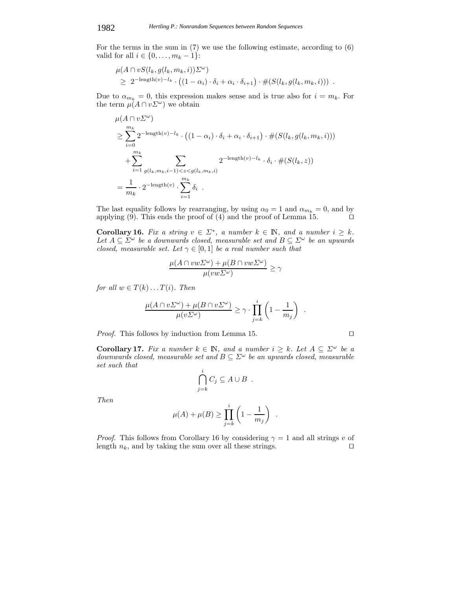## 1982 *Hertling P.: Nonrandom Sequences between Random Sequences*

For the terms in the sum in (7) we use the following estimate, according to (6) valid for all  $i \in \{0, \ldots, m_k - 1\}$ :

$$
\mu(A \cap vS(l_k, g(l_k, m_k, i))\Sigma^{\omega})
$$
  
\n
$$
\geq 2^{-\text{length}(v)-l_k} \cdot ((1 - \alpha_i) \cdot \delta_i + \alpha_i \cdot \delta_{i+1}) \cdot \#(S(l_k, g(l_k, m_k, i))) .
$$

Due to  $\alpha_{m_k} = 0$ , this expression makes sense and is true also for  $i = m_k$ . For the term  $\mu(A \cap v \Sigma^{\omega})$  we obtain

$$
\mu(A \cap v\Sigma^{\omega})
$$
\n
$$
\geq \sum_{i=0}^{m_k} 2^{-\text{length}(v) - l_k} \cdot ((1 - \alpha_i) \cdot \delta_i + \alpha_i \cdot \delta_{i+1}) \cdot \#(S(l_k, g(l_k, m_k, i)))
$$
\n
$$
+ \sum_{i=1}^{m_k} \sum_{g(l_k, m_k, i-1) < z < g(l_k, m_k, i)} 2^{-\text{length}(v) - l_k} \cdot \delta_i \cdot \#(S(l_k, z))
$$
\n
$$
= \frac{1}{m_k} \cdot 2^{-\text{length}(v)} \cdot \sum_{i=1}^{m_k} \delta_i.
$$

The last equality follows by rearranging, by using  $\alpha_0 = 1$  and  $\alpha_{m_k} = 0$ , and by applying (9). This ends the proof of (4) and the proof of Lemma 15. applying (9). This ends the proof of (4) and the proof of Lemma 15. 

**Corollary 16.** *Fix a string*  $v \in \Sigma^*$ *, a number*  $k \in \mathbb{N}$ *, and a number*  $i \geq k$ *.* Let  $A \subseteq \Sigma^\omega$  be a downwards closed, measurable set and  $B \subseteq \Sigma^\omega$  be an upwards *closed, measurable set. Let*  $\gamma \in [0,1]$  *be a real number such that* 

$$
\frac{\mu(A \cap vw\Sigma^{\omega}) + \mu(B \cap vw\Sigma^{\omega})}{\mu(vw\Sigma^{\omega})} \ge \gamma
$$

*for all*  $w \in T(k) \dots T(i)$ *. Then* 

$$
\frac{\mu(A \cap v\Sigma^{\omega}) + \mu(B \cap v\Sigma^{\omega})}{\mu(v\Sigma^{\omega})} \ge \gamma \cdot \prod_{j=k}^{i} \left(1 - \frac{1}{m_j}\right)
$$

*Proof.* This follows by induction from Lemma 15. □

**Corollary 17.** *Fix a number*  $k \in \mathbb{N}$ *, and a number*  $i \geq k$ *. Let*  $A \subseteq \Sigma^{\omega}$  *be a downwards closed, measurable set and*  $B \subseteq \Sigma^\omega$  *be an upwards closed, measurable set such that*

$$
\bigcap_{j=k}^i C_j \subseteq A \cup B .
$$

*Then*

$$
\mu(A) + \mu(B) \ge \prod_{j=k}^{i} \left(1 - \frac{1}{m_j}\right) .
$$

*Proof.* This follows from Corollary 16 by considering  $\gamma = 1$  and all strings v of length  $n_k$ , and by taking the sum over all these strings. length  $n_k$ , and by taking the sum over all these strings.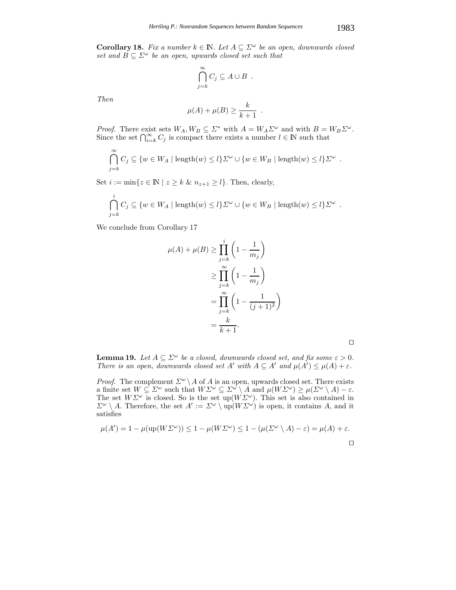$$
\bigcap_{j=k}^{\infty} C_j \subseteq A \cup B .
$$

*Then*

$$
\mu(A) + \mu(B) \ge \frac{k}{k+1} .
$$

*Proof.* There exist sets  $W_A, W_B \subseteq \Sigma^*$  with  $A = W_A \Sigma^{\omega}$  and with  $B = W_B \Sigma^{\omega}$ .<br>Since the set  $\bigcap_{i=k}^{\infty} C_j$  is compact there exists a number  $l \in \mathbb{N}$  such that

$$
\bigcap_{j=k}^{\infty} C_j \subseteq \{w \in W_A \mid \text{length}(w) \leq l\} \Sigma^{\omega} \cup \{w \in W_B \mid \text{length}(w) \leq l\} \Sigma^{\omega} .
$$

Set  $i := \min\{z \in \mathbb{N} \mid z \ge k \& n_{z+1} \ge l\}$ . Then, clearly,

$$
\bigcap_{j=k}^{\infty} C_j \subseteq \{w \in W_A \mid \text{length}(w) \leq l\} \Sigma^{\omega} \cup \{w \in W_B \mid \text{length}(w) \leq l\} \Sigma^{\omega} .
$$

We conclude from Corollary 17

$$
\mu(A) + \mu(B) \ge \prod_{j=k}^{i} \left( 1 - \frac{1}{m_j} \right)
$$

$$
\ge \prod_{j=k}^{\infty} \left( 1 - \frac{1}{m_j} \right)
$$

$$
= \prod_{j=k}^{\infty} \left( 1 - \frac{1}{(j+1)^2} \right)
$$

$$
= \frac{k}{k+1}.
$$

| ۰ |  |
|---|--|
|   |  |
|   |  |

**Lemma 19.** *Let*  $A \subseteq \Sigma^\omega$  *be a closed, downwards closed set, and fix some*  $\varepsilon > 0$ *. There is an open, downwards closed set*  $A'$  *with*  $A \subseteq A'$  *and*  $\mu(A') \leq \mu(A) + \varepsilon$ *.* 

*Proof.* The complement  $\Sigma^{\omega} \backslash A$  of A is an open, upwards closed set. There exists a finite set  $W \subset \Sigma^{\omega}$  such that  $W \Sigma^{\omega} \subset \Sigma^{\omega} \backslash A$  and  $\mu(W \Sigma^{\omega}) \geq \mu(\Sigma^{\omega} \backslash A) - \varepsilon$ a finite set  $W \subseteq \Sigma^{\omega}$  such that  $W \Sigma^{\omega} \subseteq \Sigma^{\omega} \setminus A$  and  $\mu(W \Sigma^{\omega}) \geq \mu(\Sigma^{\omega} \setminus A) - \varepsilon$ .<br>The set  $W \Sigma^{\omega}$  is closed. So is the set  $un(W \Sigma^{\omega})$ . This set is also contained in The set  $W\Sigma^{\omega}$  is closed. So is the set  $\text{up}(W\Sigma^{\omega})$ . This set is also contained in  $\Sigma^{\omega} \setminus A$ . Therefore, the set  $A' := \Sigma^{\omega} \setminus \text{un}(W\Sigma^{\omega})$  is open it contains A and it.  $\Sigma^{\omega} \setminus A$ . Therefore, the set  $A' := \Sigma^{\omega} \setminus \text{up}(W \Sigma^{\omega})$  is open, it contains A, and it satisfies

$$
\mu(A') = 1 - \mu(\text{up}(W\Sigma^{\omega})) \le 1 - \mu(W\Sigma^{\omega}) \le 1 - (\mu(\Sigma^{\omega} \setminus A) - \varepsilon) = \mu(A) + \varepsilon.
$$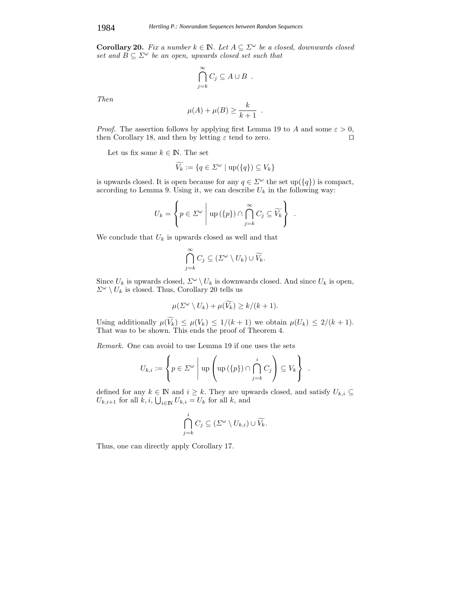**Corollary 20.** *Fix a number*  $k \in \mathbb{N}$ *. Let*  $A \subseteq \Sigma^{\omega}$  *be a closed, downwards closed set and*  $B \subseteq \Sigma^{\omega}$  *be an open, upwards closed set such that* 

$$
\bigcap_{j=k}^{\infty} C_j \subseteq A \cup B .
$$

*Then*

$$
\mu(A) + \mu(B) \ge \frac{k}{k+1} .
$$

*Proof.* The assertion follows by applying first Lemma 19 to A and some  $\varepsilon > 0$ , then Corollary 18, and then by letting  $\varepsilon$  tend to zero. then Corollary 18, and then by letting  $\varepsilon$  tend to zero.

Let us fix some  $k \in \mathbb{N}$ . The set

$$
\widetilde{V_k} := \{ q \in \Sigma^{\omega} \mid \text{up}(\{q\}) \subseteq V_k \}
$$

is upwards closed. It is open because for any  $q \in \Sigma^{\omega}$  the set up( $\{q\}$ ) is compact, according to Lemma 9. Using it, we can describe  $U_k$  in the following way:

$$
U_k = \left\{ p \in \Sigma^{\omega} \mid \mathrm{up}(\{p\}) \cap \bigcap_{j=k}^{\infty} C_j \subseteq \widetilde{V}_k \right\} .
$$

We conclude that  $U_k$  is upwards closed as well and that

$$
\bigcap_{j=k}^{\infty} C_j \subseteq (\Sigma^{\omega} \setminus U_k) \cup \widetilde{V_k}.
$$

Since  $U_k$  is upwards closed,  $\Sigma^{\omega} \setminus U_k$  is downwards closed. And since  $U_k$  is open,  $\Sigma^{\omega} \setminus U_k$  is closed. Thus, Corollary 20 tells us

$$
\mu(\Sigma^{\omega} \setminus U_k) + \mu(\widetilde{V}_k) \ge k/(k+1).
$$

Using additionally  $\mu(V_k) \leq \mu(V_k) \leq 1/(k+1)$  we obtain  $\mu(U_k) \leq 2/(k+1)$ .<br>That was to be shown. This ends the proof of Theorem 4 That was to be shown. This ends the proof of Theorem 4.

*Remark.* One can avoid to use Lemma 19 if one uses the sets

$$
U_{k,i} := \left\{ p \in \Sigma^{\omega} \mid \mathrm{up} \left( \mathrm{up} \left( \{ p \} \right) \cap \bigcap_{j=k}^{i} C_j \right) \subseteq V_k \right\} .
$$

defined for any  $k \in \mathbb{N}$  and  $i \geq k$ . They are upwards closed, and satisfy  $U_{k,i} \subseteq$  $U_{k,i+1}$  for all  $k, i, \bigcup_{i \in \mathbb{N}} U_{k,i} = U_k$  for all  $k$ , and

$$
\bigcap_{j=k}^i C_j \subseteq (\Sigma^{\omega} \setminus U_{k,i}) \cup \widetilde{V_k}.
$$

Thus, one can directly apply Corollary 17.